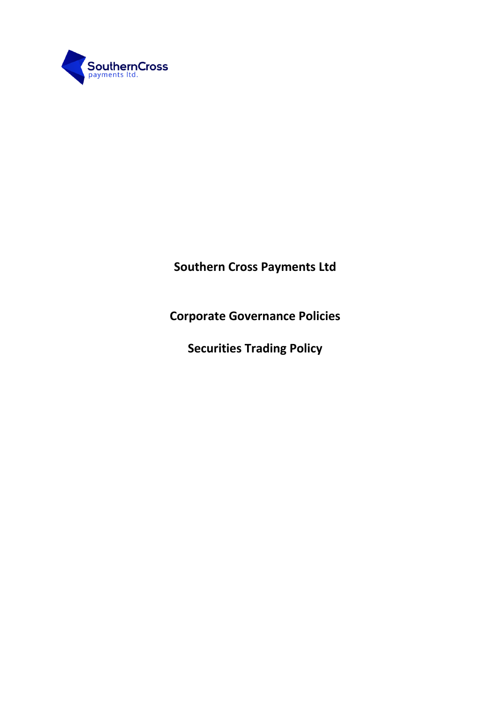

**Southern Cross Payments Ltd**

**Corporate Governance Policies**

**Securities Trading Policy**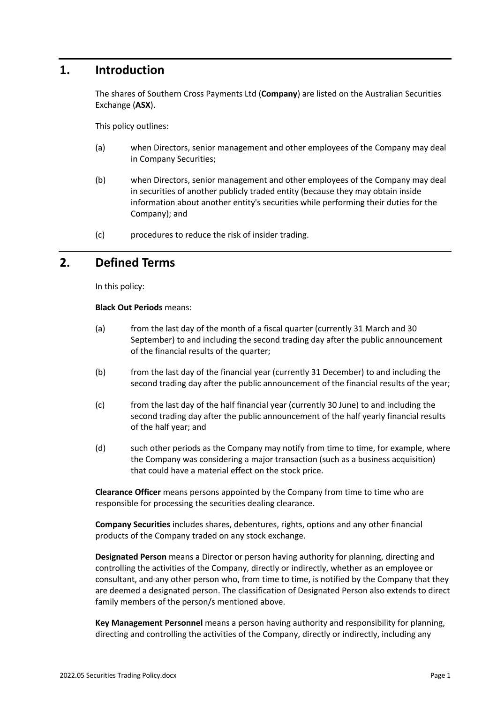## **1. Introduction**

The shares of Southern Cross Payments Ltd (**Company**) are listed on the Australian Securities Exchange (**ASX**).

This policy outlines:

- (a) when Directors, senior management and other employees of the Company may deal in Company Securities;
- (b) when Directors, senior management and other employees of the Company may deal in securities of another publicly traded entity (because they may obtain inside information about another entity's securities while performing their duties for the Company); and
- (c) procedures to reduce the risk of insider trading.

### **2. Defined Terms**

In this policy:

**Black Out Periods** means:

- (a) from the last day of the month of a fiscal quarter (currently 31 March and 30 September) to and including the second trading day after the public announcement of the financial results of the quarter;
- (b) from the last day of the financial year (currently 31 December) to and including the second trading day after the public announcement of the financial results of the year;
- (c) from the last day of the half financial year (currently 30 June) to and including the second trading day after the public announcement of the half yearly financial results of the half year; and
- (d) such other periods as the Company may notify from time to time, for example, where the Company was considering a major transaction (such as a business acquisition) that could have a material effect on the stock price.

**Clearance Officer** means persons appointed by the Company from time to time who are responsible for processing the securities dealing clearance.

**Company Securities** includes shares, debentures, rights, options and any other financial products of the Company traded on any stock exchange.

**Designated Person** means a Director or person having authority for planning, directing and controlling the activities of the Company, directly or indirectly, whether as an employee or consultant, and any other person who, from time to time, is notified by the Company that they are deemed a designated person. The classification of Designated Person also extends to direct family members of the person/s mentioned above.

**Key Management Personnel** means a person having authority and responsibility for planning, directing and controlling the activities of the Company, directly or indirectly, including any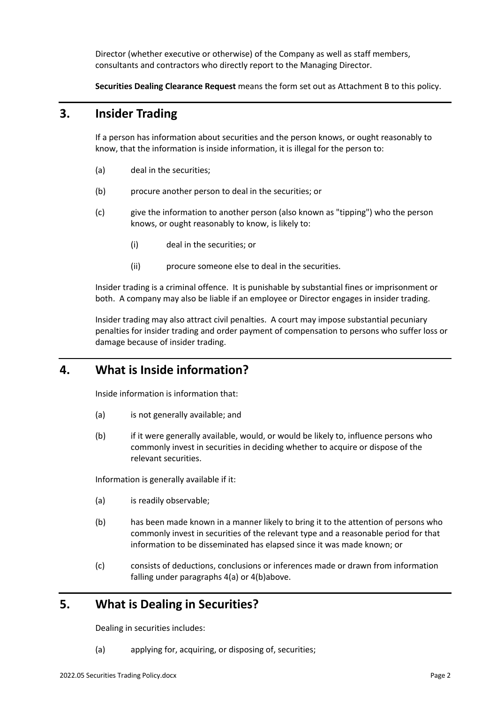Director (whether executive or otherwise) of the Company as well as staff members, consultants and contractors who directly report to the Managing Director.

**Securities Dealing Clearance Request** means the form set out as Attachment B to this policy.

## **3. Insider Trading**

If a person has information about securities and the person knows, or ought reasonably to know, that the information is inside information, it is illegal for the person to:

- (a) deal in the securities;
- (b) procure another person to deal in the securities; or
- (c) give the information to another person (also known as "tipping") who the person knows, or ought reasonably to know, is likely to:
	- (i) deal in the securities; or
	- (ii) procure someone else to deal in the securities.

Insider trading is a criminal offence. It is punishable by substantial fines or imprisonment or both. A company may also be liable if an employee or Director engages in insider trading.

Insider trading may also attract civil penalties. A court may impose substantial pecuniary penalties for insider trading and order payment of compensation to persons who suffer loss or damage because of insider trading.

# **4. What is Inside information?**

Inside information is information that:

- (a) is not generally available; and
- (b) if it were generally available, would, or would be likely to, influence persons who commonly invest in securities in deciding whether to acquire or dispose of the relevant securities.

Information is generally available if it:

- (a) is readily observable;
- (b) has been made known in a manner likely to bring it to the attention of persons who commonly invest in securities of the relevant type and a reasonable period for that information to be disseminated has elapsed since it was made known; or
- (c) consists of deductions, conclusions or inferences made or drawn from information falling under paragraphs 4(a) or 4(b)above.

## **5. What is Dealing in Securities?**

Dealing in securities includes:

(a) applying for, acquiring, or disposing of, securities;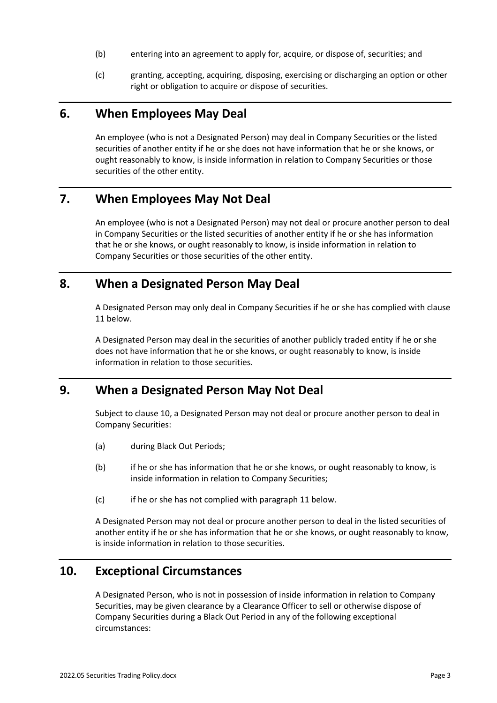- (b) entering into an agreement to apply for, acquire, or dispose of, securities; and
- (c) granting, accepting, acquiring, disposing, exercising or discharging an option or other right or obligation to acquire or dispose of securities.

### **6. When Employees May Deal**

An employee (who is not a Designated Person) may deal in Company Securities or the listed securities of another entity if he or she does not have information that he or she knows, or ought reasonably to know, is inside information in relation to Company Securities or those securities of the other entity.

## **7. When Employees May Not Deal**

An employee (who is not a Designated Person) may not deal or procure another person to deal in Company Securities or the listed securities of another entity if he or she has information that he or she knows, or ought reasonably to know, is inside information in relation to Company Securities or those securities of the other entity.

### **8. When a Designated Person May Deal**

A Designated Person may only deal in Company Securities if he or she has complied with clause 11 below.

A Designated Person may deal in the securities of another publicly traded entity if he or she does not have information that he or she knows, or ought reasonably to know, is inside information in relation to those securities.

# **9. When a Designated Person May Not Deal**

Subject to clause 10, a Designated Person may not deal or procure another person to deal in Company Securities:

- (a) during Black Out Periods;
- (b) if he or she has information that he or she knows, or ought reasonably to know, is inside information in relation to Company Securities;
- (c) if he or she has not complied with paragraph 11 below.

A Designated Person may not deal or procure another person to deal in the listed securities of another entity if he or she has information that he or she knows, or ought reasonably to know, is inside information in relation to those securities.

## **10. Exceptional Circumstances**

A Designated Person, who is not in possession of inside information in relation to Company Securities, may be given clearance by a Clearance Officer to sell or otherwise dispose of Company Securities during a Black Out Period in any of the following exceptional circumstances: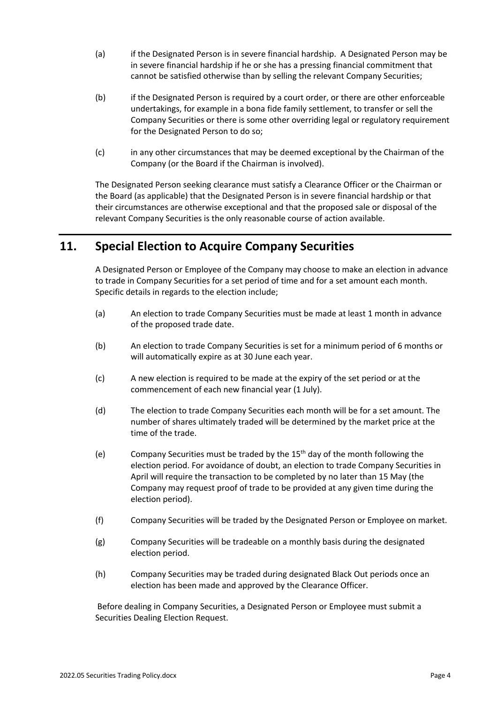- (a) if the Designated Person is in severe financial hardship. A Designated Person may be in severe financial hardship if he or she has a pressing financial commitment that cannot be satisfied otherwise than by selling the relevant Company Securities;
- (b) if the Designated Person is required by a court order, or there are other enforceable undertakings, for example in a bona fide family settlement, to transfer or sell the Company Securities or there is some other overriding legal or regulatory requirement for the Designated Person to do so;
- (c) in any other circumstances that may be deemed exceptional by the Chairman of the Company (or the Board if the Chairman is involved).

The Designated Person seeking clearance must satisfy a Clearance Officer or the Chairman or the Board (as applicable) that the Designated Person is in severe financial hardship or that their circumstances are otherwise exceptional and that the proposed sale or disposal of the relevant Company Securities is the only reasonable course of action available.

# **11. Special Election to Acquire Company Securities**

A Designated Person or Employee of the Company may choose to make an election in advance to trade in Company Securities for a set period of time and for a set amount each month. Specific details in regards to the election include;

- (a) An election to trade Company Securities must be made at least 1 month in advance of the proposed trade date.
- (b) An election to trade Company Securities is set for a minimum period of 6 months or will automatically expire as at 30 June each year.
- (c) A new election is required to be made at the expiry of the set period or at the commencement of each new financial year (1 July).
- (d) The election to trade Company Securities each month will be for a set amount. The number of shares ultimately traded will be determined by the market price at the time of the trade.
- (e) Company Securities must be traded by the  $15<sup>th</sup>$  day of the month following the election period. For avoidance of doubt, an election to trade Company Securities in April will require the transaction to be completed by no later than 15 May (the Company may request proof of trade to be provided at any given time during the election period).
- (f) Company Securities will be traded by the Designated Person or Employee on market.
- (g) Company Securities will be tradeable on a monthly basis during the designated election period.
- (h) Company Securities may be traded during designated Black Out periods once an election has been made and approved by the Clearance Officer.

Before dealing in Company Securities, a Designated Person or Employee must submit a Securities Dealing Election Request.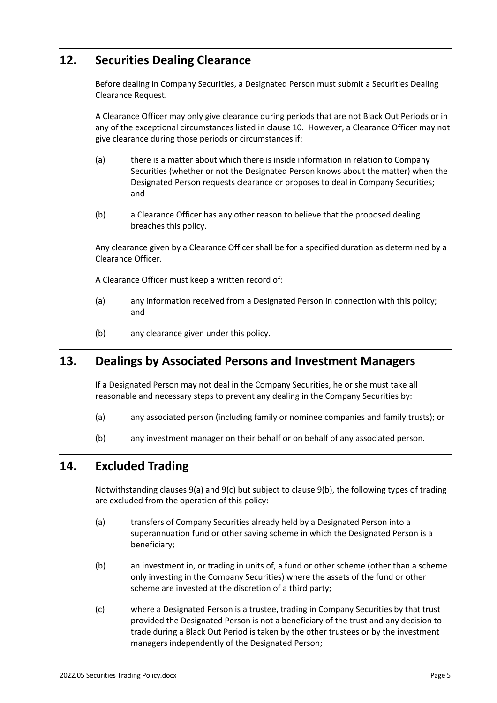# **12. Securities Dealing Clearance**

Before dealing in Company Securities, a Designated Person must submit a Securities Dealing Clearance Request.

A Clearance Officer may only give clearance during periods that are not Black Out Periods or in any of the exceptional circumstances listed in clause 10. However, a Clearance Officer may not give clearance during those periods or circumstances if:

- (a) there is a matter about which there is inside information in relation to Company Securities (whether or not the Designated Person knows about the matter) when the Designated Person requests clearance or proposes to deal in Company Securities; and
- (b) a Clearance Officer has any other reason to believe that the proposed dealing breaches this policy.

Any clearance given by a Clearance Officer shall be for a specified duration as determined by a Clearance Officer.

A Clearance Officer must keep a written record of:

- (a) any information received from a Designated Person in connection with this policy; and
- (b) any clearance given under this policy.

## **13. Dealings by Associated Persons and Investment Managers**

If a Designated Person may not deal in the Company Securities, he or she must take all reasonable and necessary steps to prevent any dealing in the Company Securities by:

- (a) any associated person (including family or nominee companies and family trusts); or
- (b) any investment manager on their behalf or on behalf of any associated person.

### **14. Excluded Trading**

Notwithstanding clauses 9(a) and 9(c) but subject to clause 9(b), the following types of trading are excluded from the operation of this policy:

- (a) transfers of Company Securities already held by a Designated Person into a superannuation fund or other saving scheme in which the Designated Person is a beneficiary;
- (b) an investment in, or trading in units of, a fund or other scheme (other than a scheme only investing in the Company Securities) where the assets of the fund or other scheme are invested at the discretion of a third party;
- (c) where a Designated Person is a trustee, trading in Company Securities by that trust provided the Designated Person is not a beneficiary of the trust and any decision to trade during a Black Out Period is taken by the other trustees or by the investment managers independently of the Designated Person;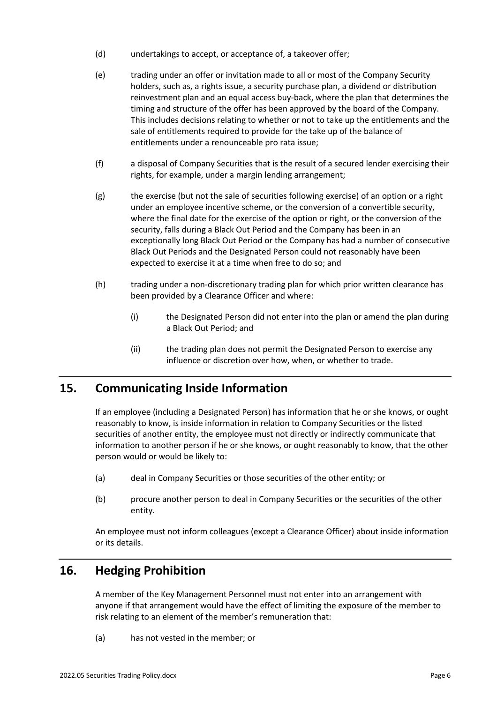- (d) undertakings to accept, or acceptance of, a takeover offer;
- (e) trading under an offer or invitation made to all or most of the Company Security holders, such as, a rights issue, a security purchase plan, a dividend or distribution reinvestment plan and an equal access buy-back, where the plan that determines the timing and structure of the offer has been approved by the board of the Company. This includes decisions relating to whether or not to take up the entitlements and the sale of entitlements required to provide for the take up of the balance of entitlements under a renounceable pro rata issue;
- (f) a disposal of Company Securities that is the result of a secured lender exercising their rights, for example, under a margin lending arrangement;
- (g) the exercise (but not the sale of securities following exercise) of an option or a right under an employee incentive scheme, or the conversion of a convertible security, where the final date for the exercise of the option or right, or the conversion of the security, falls during a Black Out Period and the Company has been in an exceptionally long Black Out Period or the Company has had a number of consecutive Black Out Periods and the Designated Person could not reasonably have been expected to exercise it at a time when free to do so; and
- (h) trading under a non-discretionary trading plan for which prior written clearance has been provided by a Clearance Officer and where:
	- (i) the Designated Person did not enter into the plan or amend the plan during a Black Out Period; and
	- (ii) the trading plan does not permit the Designated Person to exercise any influence or discretion over how, when, or whether to trade.

# **15. Communicating Inside Information**

If an employee (including a Designated Person) has information that he or she knows, or ought reasonably to know, is inside information in relation to Company Securities or the listed securities of another entity, the employee must not directly or indirectly communicate that information to another person if he or she knows, or ought reasonably to know, that the other person would or would be likely to:

- (a) deal in Company Securities or those securities of the other entity; or
- (b) procure another person to deal in Company Securities or the securities of the other entity.

An employee must not inform colleagues (except a Clearance Officer) about inside information or its details.

# **16. Hedging Prohibition**

A member of the Key Management Personnel must not enter into an arrangement with anyone if that arrangement would have the effect of limiting the exposure of the member to risk relating to an element of the member's remuneration that:

(a) has not vested in the member; or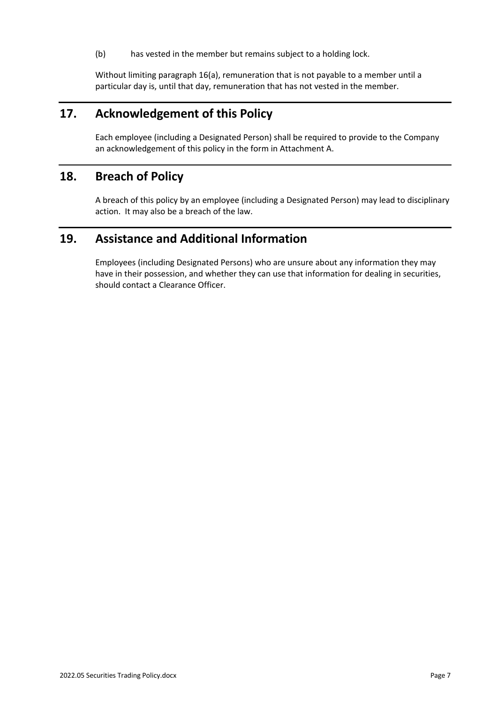(b) has vested in the member but remains subject to a holding lock.

Without limiting paragraph 16(a), remuneration that is not payable to a member until a particular day is, until that day, remuneration that has not vested in the member.

### **17. Acknowledgement of this Policy**

Each employee (including a Designated Person) shall be required to provide to the Company an acknowledgement of this policy in the form in Attachment A.

## **18. Breach of Policy**

A breach of this policy by an employee (including a Designated Person) may lead to disciplinary action. It may also be a breach of the law.

## **19. Assistance and Additional Information**

Employees (including Designated Persons) who are unsure about any information they may have in their possession, and whether they can use that information for dealing in securities, should contact a Clearance Officer.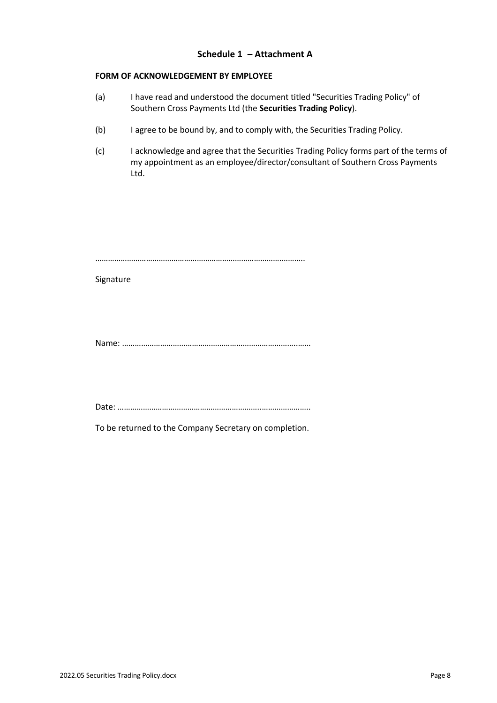#### **Schedule 1 – Attachment A**

#### **FORM OF ACKNOWLEDGEMENT BY EMPLOYEE**

- (a) I have read and understood the document titled "Securities Trading Policy" of Southern Cross Payments Ltd (the **Securities Trading Policy**).
- (b) I agree to be bound by, and to comply with, the Securities Trading Policy.
- (c) I acknowledge and agree that the Securities Trading Policy forms part of the terms of my appointment as an employee/director/consultant of Southern Cross Payments Ltd.

…………………………………………………………………………….………..

Signature

Name: ………………………………………………………………………..……

Date: …………………………………………………………..…………………..

To be returned to the Company Secretary on completion.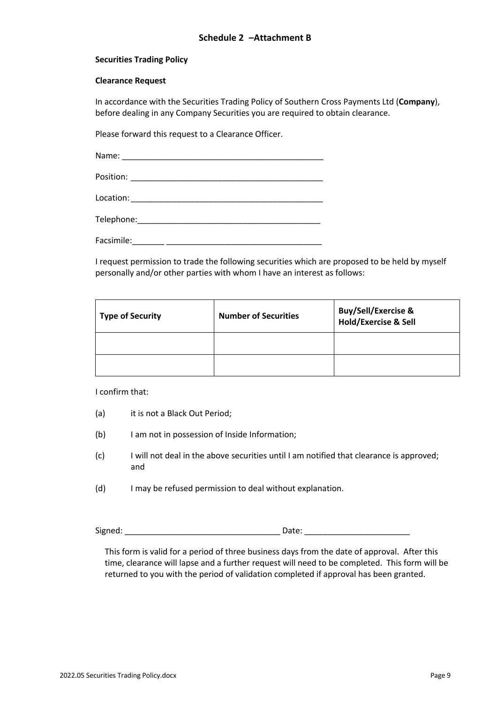#### **Securities Trading Policy**

#### **Clearance Request**

In accordance with the Securities Trading Policy of Southern Cross Payments Ltd (**Company**), before dealing in any Company Securities you are required to obtain clearance.

Please forward this request to a Clearance Officer.

Name: \_\_\_\_\_\_\_\_\_\_\_\_\_\_\_\_\_\_\_\_\_\_\_\_\_\_\_\_\_\_\_\_\_\_\_\_\_\_\_\_\_\_\_\_ Position: \_\_\_\_\_\_\_\_\_\_\_\_\_\_\_\_\_\_\_\_\_\_\_\_\_\_\_\_\_\_\_\_\_\_\_\_\_\_\_\_\_\_

Location: \_\_\_\_\_\_\_\_\_\_\_\_\_\_\_\_\_\_\_\_\_\_\_\_\_\_\_\_\_\_\_\_\_\_\_\_\_\_\_\_\_\_

Telephone:

Facsimile:

I request permission to trade the following securities which are proposed to be held by myself personally and/or other parties with whom I have an interest as follows:

| <b>Type of Security</b> | <b>Number of Securities</b> | <b>Buy/Sell/Exercise &amp;</b><br>Hold/Exercise & Sell |
|-------------------------|-----------------------------|--------------------------------------------------------|
|                         |                             |                                                        |
|                         |                             |                                                        |

I confirm that:

- (a) it is not a Black Out Period;
- (b) I am not in possession of Inside Information;
- (c) I will not deal in the above securities until I am notified that clearance is approved; and
- (d) I may be refused permission to deal without explanation.

Signed: \_\_\_\_\_\_\_\_\_\_\_\_\_\_\_\_\_\_\_\_\_\_\_\_\_\_\_\_\_\_\_\_\_\_ Date: \_\_\_\_\_\_\_\_\_\_\_\_\_\_\_\_\_\_\_\_\_\_\_

This form is valid for a period of three business days from the date of approval. After this time, clearance will lapse and a further request will need to be completed. This form will be returned to you with the period of validation completed if approval has been granted.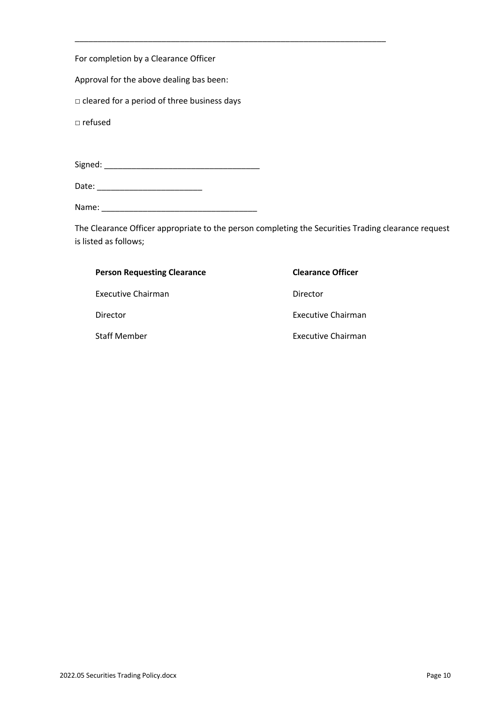For completion by a Clearance Officer

Approval for the above dealing bas been:

□ cleared for a period of three business days

□ refused

Signed: \_\_\_\_\_\_\_\_\_\_\_\_\_\_\_\_\_\_\_\_\_\_\_\_\_\_\_\_\_\_\_\_\_\_

Date: \_\_\_\_\_\_\_\_\_\_\_\_\_\_\_\_\_\_\_\_\_\_\_

Name: \_\_\_\_\_\_\_\_\_\_\_\_\_\_\_\_\_\_\_\_\_\_\_\_\_\_\_\_\_\_\_\_\_\_

The Clearance Officer appropriate to the person completing the Securities Trading clearance request is listed as follows;

| <b>Person Requesting Clearance</b> | <b>Clearance Officer</b>  |
|------------------------------------|---------------------------|
| Executive Chairman                 | Director                  |
| Director                           | Executive Chairman        |
| <b>Staff Member</b>                | <b>Executive Chairman</b> |

\_\_\_\_\_\_\_\_\_\_\_\_\_\_\_\_\_\_\_\_\_\_\_\_\_\_\_\_\_\_\_\_\_\_\_\_\_\_\_\_\_\_\_\_\_\_\_\_\_\_\_\_\_\_\_\_\_\_\_\_\_\_\_\_\_\_\_\_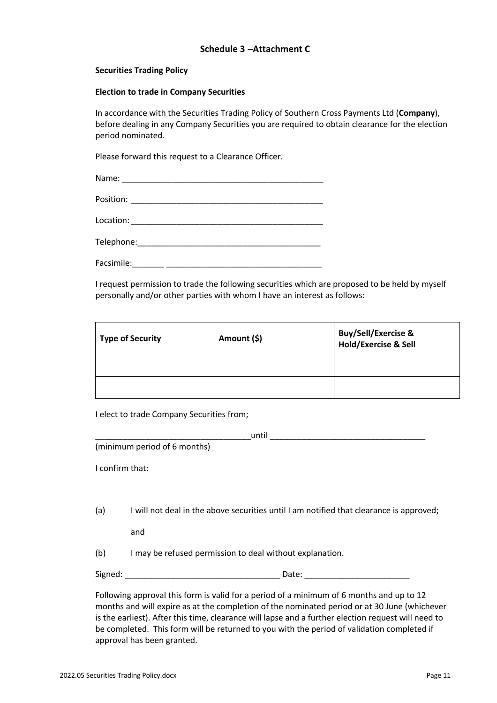#### **Securities Trading Policy**

#### **Election to trade in Company Securities**

In accordance with the Securities Trading Policy of Southern Cross Payments Ltd (**Company**), before dealing in any Company Securities you are required to obtain clearance for the election period nominated.

Please forward this request to a Clearance Officer.

I request permission to trade the following securities which are proposed to be held by myself personally and/or other parties with whom I have an interest as follows:

| <b>Type of Security</b> | Amount (\$) | Buy/Sell/Exercise &<br>Hold/Exercise & Sell |
|-------------------------|-------------|---------------------------------------------|
|                         |             |                                             |
|                         |             |                                             |

I elect to trade Company Securities from;

|                 | until                                                                                                                           |
|-----------------|---------------------------------------------------------------------------------------------------------------------------------|
|                 | (minimum period of 6 months)                                                                                                    |
| I confirm that: |                                                                                                                                 |
|                 |                                                                                                                                 |
| (a)             | I will not deal in the above securities until I am notified that clearance is approved;                                         |
|                 | and                                                                                                                             |
| (b)             | I may be refused permission to deal without explanation.                                                                        |
| Signed:         | Date:<br><u> 1989 - Johann John Stein, mars et al. 1989 - John Stein, mars et al. 1989 - John Stein Stein Stein Stein Stein</u> |
|                 |                                                                                                                                 |

Following approval this form is valid for a period of a minimum of 6 months and up to 12 months and will expire as at the completion of the nominated period or at 30 June (whichever is the earliest). After this time, clearance will lapse and a further election request will need to be completed. This form will be returned to you with the period of validation completed if approval has been granted.